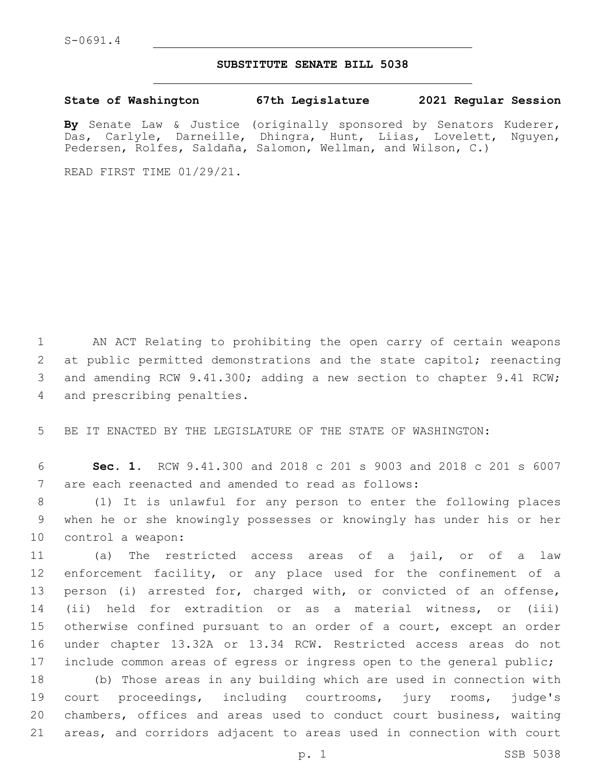## **SUBSTITUTE SENATE BILL 5038**

**State of Washington 67th Legislature 2021 Regular Session**

**By** Senate Law & Justice (originally sponsored by Senators Kuderer, Das, Carlyle, Darneille, Dhingra, Hunt, Liias, Lovelett, Nguyen, Pedersen, Rolfes, Saldaña, Salomon, Wellman, and Wilson, C.)

READ FIRST TIME 01/29/21.

1 AN ACT Relating to prohibiting the open carry of certain weapons 2 at public permitted demonstrations and the state capitol; reenacting 3 and amending RCW 9.41.300; adding a new section to chapter 9.41 RCW; 4 and prescribing penalties.

5 BE IT ENACTED BY THE LEGISLATURE OF THE STATE OF WASHINGTON:

6 **Sec. 1.** RCW 9.41.300 and 2018 c 201 s 9003 and 2018 c 201 s 6007 7 are each reenacted and amended to read as follows:

8 (1) It is unlawful for any person to enter the following places 9 when he or she knowingly possesses or knowingly has under his or her 10 control a weapon:

 (a) The restricted access areas of a jail, or of a law enforcement facility, or any place used for the confinement of a person (i) arrested for, charged with, or convicted of an offense, (ii) held for extradition or as a material witness, or (iii) otherwise confined pursuant to an order of a court, except an order under chapter 13.32A or 13.34 RCW. Restricted access areas do not include common areas of egress or ingress open to the general public;

 (b) Those areas in any building which are used in connection with court proceedings, including courtrooms, jury rooms, judge's chambers, offices and areas used to conduct court business, waiting areas, and corridors adjacent to areas used in connection with court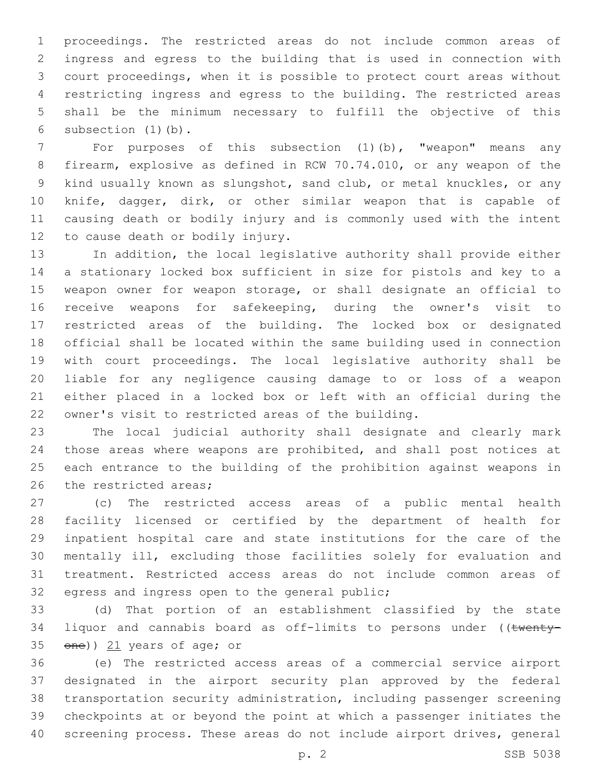proceedings. The restricted areas do not include common areas of ingress and egress to the building that is used in connection with court proceedings, when it is possible to protect court areas without restricting ingress and egress to the building. The restricted areas shall be the minimum necessary to fulfill the objective of this 6 subsection  $(1)$   $(b)$ .

 For purposes of this subsection (1)(b), "weapon" means any firearm, explosive as defined in RCW 70.74.010, or any weapon of the kind usually known as slungshot, sand club, or metal knuckles, or any knife, dagger, dirk, or other similar weapon that is capable of causing death or bodily injury and is commonly used with the intent 12 to cause death or bodily injury.

 In addition, the local legislative authority shall provide either a stationary locked box sufficient in size for pistols and key to a weapon owner for weapon storage, or shall designate an official to receive weapons for safekeeping, during the owner's visit to restricted areas of the building. The locked box or designated official shall be located within the same building used in connection with court proceedings. The local legislative authority shall be liable for any negligence causing damage to or loss of a weapon either placed in a locked box or left with an official during the owner's visit to restricted areas of the building.

 The local judicial authority shall designate and clearly mark those areas where weapons are prohibited, and shall post notices at each entrance to the building of the prohibition against weapons in 26 the restricted areas:

 (c) The restricted access areas of a public mental health facility licensed or certified by the department of health for inpatient hospital care and state institutions for the care of the mentally ill, excluding those facilities solely for evaluation and treatment. Restricted access areas do not include common areas of 32 egress and ingress open to the general public;

 (d) That portion of an establishment classified by the state 34 liquor and cannabis board as off-limits to persons under ((twenty-35  $\theta$ ene)) 21 years of age; or

 (e) The restricted access areas of a commercial service airport designated in the airport security plan approved by the federal transportation security administration, including passenger screening checkpoints at or beyond the point at which a passenger initiates the screening process. These areas do not include airport drives, general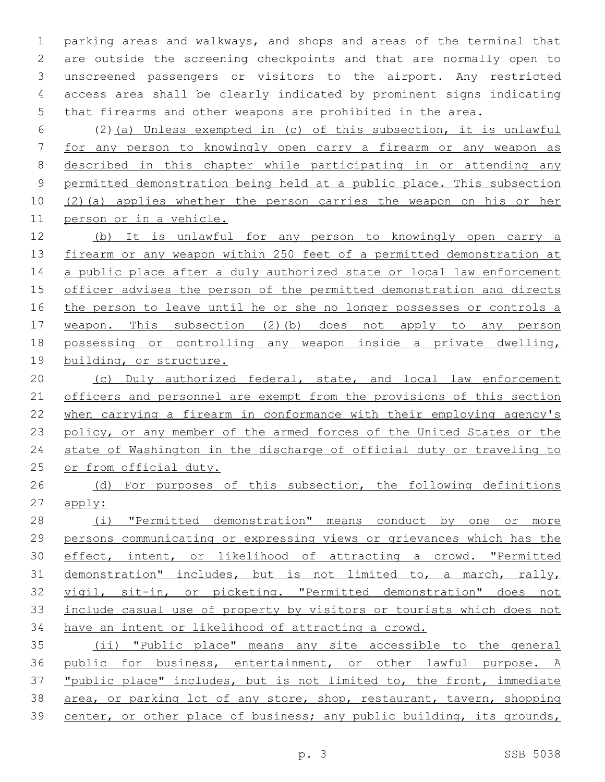parking areas and walkways, and shops and areas of the terminal that are outside the screening checkpoints and that are normally open to unscreened passengers or visitors to the airport. Any restricted access area shall be clearly indicated by prominent signs indicating that firearms and other weapons are prohibited in the area.

 (2)(a) Unless exempted in (c) of this subsection, it is unlawful for any person to knowingly open carry a firearm or any weapon as described in this chapter while participating in or attending any permitted demonstration being held at a public place. This subsection (2)(a) applies whether the person carries the weapon on his or her person or in a vehicle.

 (b) It is unlawful for any person to knowingly open carry a 13 firearm or any weapon within 250 feet of a permitted demonstration at 14 a public place after a duly authorized state or local law enforcement officer advises the person of the permitted demonstration and directs 16 the person to leave until he or she no longer possesses or controls a weapon. This subsection (2)(b) does not apply to any person possessing or controlling any weapon inside a private dwelling, building, or structure.

 (c) Duly authorized federal, state, and local law enforcement 21 officers and personnel are exempt from the provisions of this section when carrying a firearm in conformance with their employing agency's 23 policy, or any member of the armed forces of the United States or the state of Washington in the discharge of official duty or traveling to or from official duty.

26 (d) For purposes of this subsection, the following definitions apply:

 (i) "Permitted demonstration" means conduct by one or more persons communicating or expressing views or grievances which has the effect, intent, or likelihood of attracting a crowd. "Permitted demonstration" includes, but is not limited to, a march, rally, vigil, sit-in, or picketing. "Permitted demonstration" does not include casual use of property by visitors or tourists which does not have an intent or likelihood of attracting a crowd.

 (ii) "Public place" means any site accessible to the general public for business, entertainment, or other lawful purpose. A "public place" includes, but is not limited to, the front, immediate area, or parking lot of any store, shop, restaurant, tavern, shopping 39 center, or other place of business; any public building, its grounds,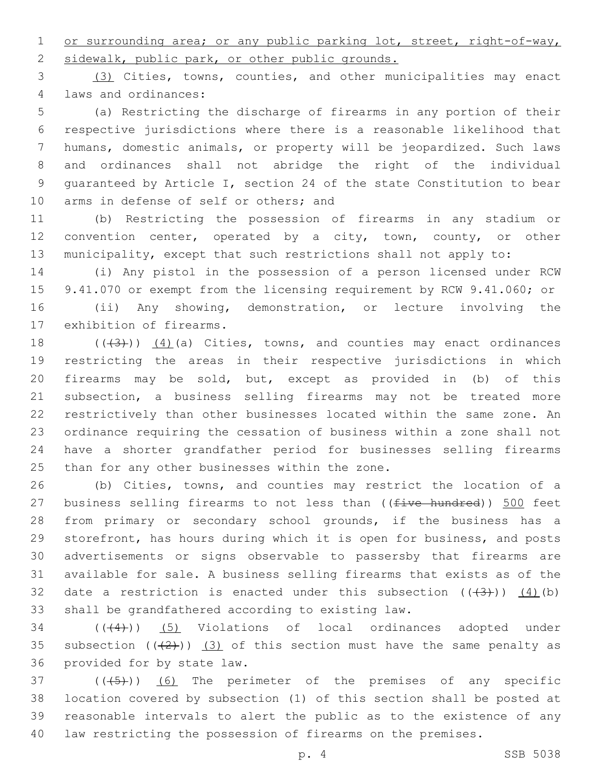1 or surrounding area; or any public parking lot, street, right-of-way, 2 sidewalk, public park, or other public grounds.

 (3) Cities, towns, counties, and other municipalities may enact laws and ordinances:4

 (a) Restricting the discharge of firearms in any portion of their respective jurisdictions where there is a reasonable likelihood that humans, domestic animals, or property will be jeopardized. Such laws and ordinances shall not abridge the right of the individual guaranteed by Article I, section 24 of the state Constitution to bear 10 arms in defense of self or others; and

 (b) Restricting the possession of firearms in any stadium or 12 convention center, operated by a city, town, county, or other municipality, except that such restrictions shall not apply to:

 (i) Any pistol in the possession of a person licensed under RCW 9.41.070 or exempt from the licensing requirement by RCW 9.41.060; or (ii) Any showing, demonstration, or lecture involving the 17 exhibition of firearms.

 $((+3+))$   $(4)$  (a) Cities, towns, and counties may enact ordinances restricting the areas in their respective jurisdictions in which firearms may be sold, but, except as provided in (b) of this subsection, a business selling firearms may not be treated more restrictively than other businesses located within the same zone. An ordinance requiring the cessation of business within a zone shall not have a shorter grandfather period for businesses selling firearms 25 than for any other businesses within the zone.

 (b) Cities, towns, and counties may restrict the location of a 27 business selling firearms to not less than  $($  (five hundred))  $\frac{500}{2}$  feet from primary or secondary school grounds, if the business has a storefront, has hours during which it is open for business, and posts advertisements or signs observable to passersby that firearms are available for sale. A business selling firearms that exists as of the 32 date a restriction is enacted under this subsection  $((+3+))$   $(4)$  (b) 33 shall be grandfathered according to existing law.

 ( $(44)$ ) (5) Violations of local ordinances adopted under 35 subsection  $((+2+))$   $(3)$  of this section must have the same penalty as 36 provided for by state law.

 ( $(\overline{(+5+})$ )  $(6)$  The perimeter of the premises of any specific location covered by subsection (1) of this section shall be posted at reasonable intervals to alert the public as to the existence of any law restricting the possession of firearms on the premises.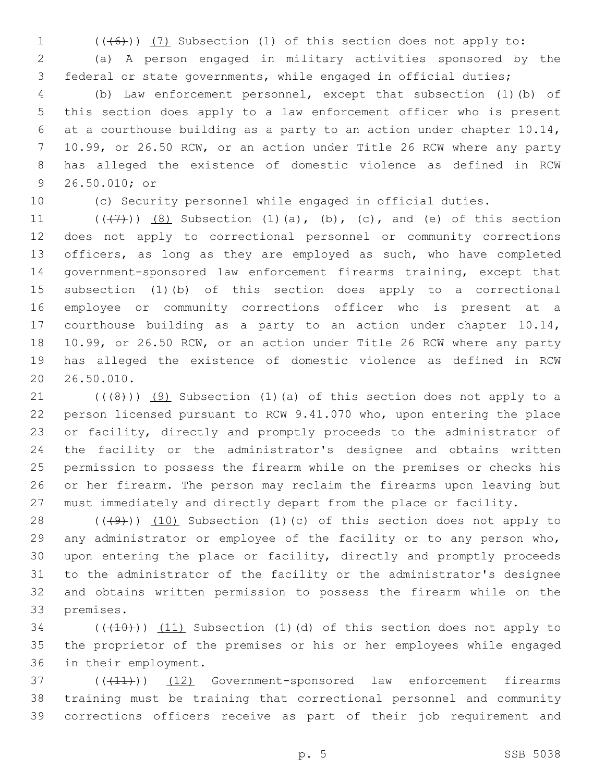1 (((6))) (7) Subsection (1) of this section does not apply to:

 (a) A person engaged in military activities sponsored by the federal or state governments, while engaged in official duties;

 (b) Law enforcement personnel, except that subsection (1)(b) of this section does apply to a law enforcement officer who is present at a courthouse building as a party to an action under chapter 10.14, 10.99, or 26.50 RCW, or an action under Title 26 RCW where any party has alleged the existence of domestic violence as defined in RCW 9 26.50.010; or

(c) Security personnel while engaged in official duties.

 $((+7+))$   $(8)$  Subsection  $(1)(a)$ ,  $(b)$ ,  $(c)$ , and  $(e)$  of this section does not apply to correctional personnel or community corrections 13 officers, as long as they are employed as such, who have completed government-sponsored law enforcement firearms training, except that subsection (1)(b) of this section does apply to a correctional employee or community corrections officer who is present at a courthouse building as a party to an action under chapter 10.14, 10.99, or 26.50 RCW, or an action under Title 26 RCW where any party has alleged the existence of domestic violence as defined in RCW 20 26.50.010.

 $(1)$  (((48))) (9) Subsection (1)(a) of this section does not apply to a person licensed pursuant to RCW 9.41.070 who, upon entering the place or facility, directly and promptly proceeds to the administrator of the facility or the administrator's designee and obtains written permission to possess the firearm while on the premises or checks his or her firearm. The person may reclaim the firearms upon leaving but must immediately and directly depart from the place or facility.

28 (((49))) (10) Subsection (1)(c) of this section does not apply to any administrator or employee of the facility or to any person who, upon entering the place or facility, directly and promptly proceeds to the administrator of the facility or the administrator's designee and obtains written permission to possess the firearm while on the 33 premises.

 $(1)$   $(11)$   $(11)$  Subsection  $(1)$   $(d)$  of this section does not apply to the proprietor of the premises or his or her employees while engaged 36 in their employment.

37 (( $(41)$ )) (12) Government-sponsored law enforcement firearms training must be training that correctional personnel and community corrections officers receive as part of their job requirement and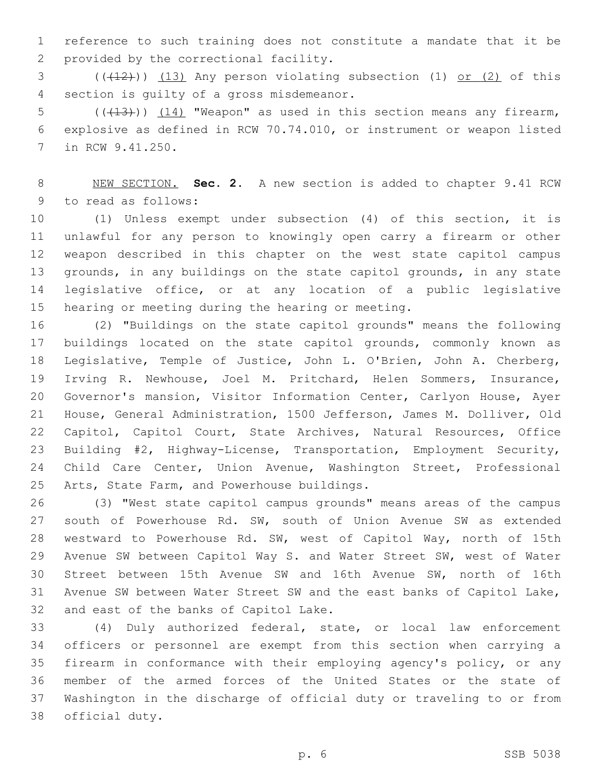reference to such training does not constitute a mandate that it be 2 provided by the correctional facility.

 $(1)$  (( $(12)$ )) (13) Any person violating subsection (1) or (2) of this 4 section is quilty of a gross misdemeanor.

5  $((+13))$   $(14)$  "Weapon" as used in this section means any firearm, explosive as defined in RCW 70.74.010, or instrument or weapon listed 7 in RCW 9.41.250.

 NEW SECTION. **Sec. 2.** A new section is added to chapter 9.41 RCW 9 to read as follows:

 (1) Unless exempt under subsection (4) of this section, it is unlawful for any person to knowingly open carry a firearm or other weapon described in this chapter on the west state capitol campus grounds, in any buildings on the state capitol grounds, in any state legislative office, or at any location of a public legislative 15 hearing or meeting during the hearing or meeting.

 (2) "Buildings on the state capitol grounds" means the following buildings located on the state capitol grounds, commonly known as Legislative, Temple of Justice, John L. O'Brien, John A. Cherberg, Irving R. Newhouse, Joel M. Pritchard, Helen Sommers, Insurance, Governor's mansion, Visitor Information Center, Carlyon House, Ayer House, General Administration, 1500 Jefferson, James M. Dolliver, Old Capitol, Capitol Court, State Archives, Natural Resources, Office Building #2, Highway-License, Transportation, Employment Security, Child Care Center, Union Avenue, Washington Street, Professional 25 Arts, State Farm, and Powerhouse buildings.

 (3) "West state capitol campus grounds" means areas of the campus 27 south of Powerhouse Rd. SW, south of Union Avenue SW as extended westward to Powerhouse Rd. SW, west of Capitol Way, north of 15th Avenue SW between Capitol Way S. and Water Street SW, west of Water Street between 15th Avenue SW and 16th Avenue SW, north of 16th Avenue SW between Water Street SW and the east banks of Capitol Lake, 32 and east of the banks of Capitol Lake.

 (4) Duly authorized federal, state, or local law enforcement officers or personnel are exempt from this section when carrying a firearm in conformance with their employing agency's policy, or any member of the armed forces of the United States or the state of Washington in the discharge of official duty or traveling to or from 38 official duty.